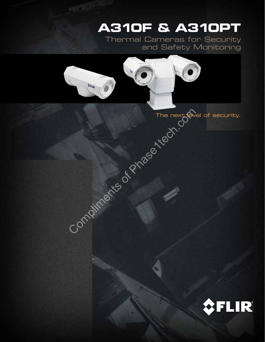# **A310F & A310PT**

Thermal Cameras for Security and Safety Monitoring

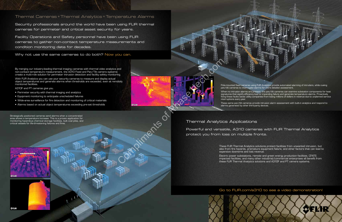# Thermal Cameras + Thermal Analytics = Temperature Alarms

Security professionals around the world have been using FLIR thermal cameras for perimeter and critical asset security for years.

Facility Operations and Safety personnel have been using FLIR cameras to gather non-contact temperature measurements and condition monitoring data for decades.

Why not use the same cameras to do both? Now you can.

# Thermal Analytics Applications Powerful and versatile, A310 cameras with FLIR Thermal Analytics protect you from loss on multiple fronts.

Pole-mounted fixed cameras using FLIR Analytics provide automated alarming of intruders, while cueing pan/tilt cameras to interrogate alarms for more detailed assessment.

When no intrusion alarms are present, the pan/tilt cameras can examine substation components for heat signatures that signify efficiency loss or impending failure and generate temperature alarms. Proactively fixing these faults saves utility companies from losing millions of dollars in revenue due to unplanned service

interruptions every year.

These same pan/tilt cameras provide intrusion alarm assessment with built-in analytics and respond to alarms generated by other third-party devices.

Strategically positioned cameras send alarms when a concentrated area shows a temperature increase. This is a proven application for monitoring hazardous chemical storage facilities, bulk coal piles, and critical vessels for life-threatening failures and fires.

> These FLIR Thermal Analytics solutions protect facilities from unwanted intrusion, but also from fire hazards, premature equipment failure, and other factors that can lead to expensive downtime and lost revenue.

Electric power substations, remote and green energy production facilities, CFATS impacted facilities, and many other industrial/commercial enterprises all benefit from these FLIR Thermal Analytics solutions and A310F and PT camera systems.



*<u>OFLIR</u>* 





By merging our industry-leading thermal imaging cameras with thermal video analytics and non-contact temperature measurement, the A310 Fixed and Pan/Tilt camera systems create a multi-role solution for perimeter intrusion detection and facility safety monitoring.

With FLIR Analytics you can use your security cameras to measure and display actual object temperatures and generate alarms when thresholds are exceeded, even at remotely monitored facilities.

A310F and PT cameras give you.

- Perimeter security with thermal imaging and analytics
- • Equipment monitoring to anticipate unscheduled failures
- • Wide-area surveillance for fire detection and monitoring of critical materials
- Alarms based on actual object temperatures exceeding pre-set thresholds

## Go to FLIR.com/a310 to see a video demonstration!

OELIR